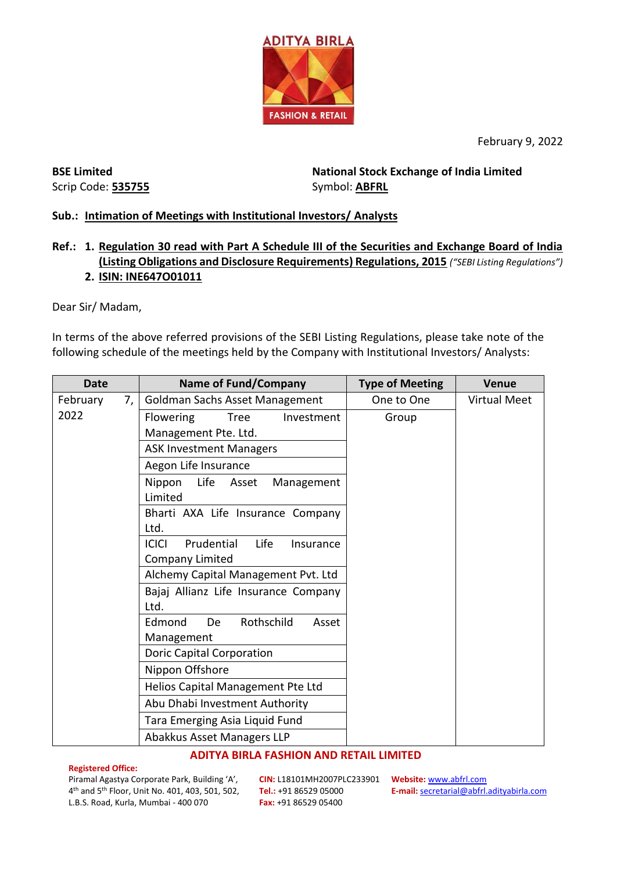

February 9, 2022

**BSE Limited** Scrip Code: **535755** **National Stock Exchange of India Limited**  Symbol: **ABFRL**

# **Sub.: Intimation of Meetings with Institutional Investors/ Analysts**

## **Ref.: 1. Regulation 30 read with Part A Schedule III of the Securities and Exchange Board of India (Listing Obligations and Disclosure Requirements) Regulations, 2015** *("SEBI Listing Regulations")* **2. ISIN: INE647O01011**

Dear Sir/ Madam,

In terms of the above referred provisions of the SEBI Listing Regulations, please take note of the following schedule of the meetings held by the Company with Institutional Investors/ Analysts:

| <b>Date</b>    | <b>Name of Fund/Company</b>                       | <b>Type of Meeting</b> | <b>Venue</b>        |
|----------------|---------------------------------------------------|------------------------|---------------------|
| 7,<br>February | Goldman Sachs Asset Management                    | One to One             | <b>Virtual Meet</b> |
| 2022           | Flowering<br>Tree<br>Investment                   | Group                  |                     |
|                | Management Pte. Ltd.                              |                        |                     |
|                | <b>ASK Investment Managers</b>                    |                        |                     |
|                | Aegon Life Insurance                              |                        |                     |
|                | Nippon<br>Life<br>Asset<br>Management<br>Limited  |                        |                     |
|                | Bharti AXA Life Insurance Company<br>Ltd.         |                        |                     |
|                | Prudential<br><b>ICICI</b><br>Life<br>Insurance   |                        |                     |
|                | Company Limited                                   |                        |                     |
|                | Alchemy Capital Management Pvt. Ltd               |                        |                     |
|                | Bajaj Allianz Life Insurance Company<br>Ltd.      |                        |                     |
|                | Rothschild<br>Edmond<br>De<br>Asset<br>Management |                        |                     |
|                | <b>Doric Capital Corporation</b>                  |                        |                     |
|                | Nippon Offshore                                   |                        |                     |
|                | Helios Capital Management Pte Ltd                 |                        |                     |
|                | Abu Dhabi Investment Authority                    |                        |                     |
|                | Tara Emerging Asia Liquid Fund                    |                        |                     |
|                | Abakkus Asset Managers LLP                        |                        |                     |

### **ADITYA BIRLA FASHION AND RETAIL LIMITED**

### **Registered Office:**

Piramal Agastya Corporate Park, Building 'A', 4 th and 5th Floor, Unit No. 401, 403, 501, 502, L.B.S. Road, Kurla, Mumbai - 400 070

**CIN:** L18101MH2007PLC233901 **Website:** [www.abfrl.com](http://www.abfrl.com/) **Tel.:** +91 86529 05000 **Fax:** +91 86529 05400

**E-mail:** [secretarial@abfrl.adityabirla.com](mailto:secretarial@abfrl.adityabirla.com)